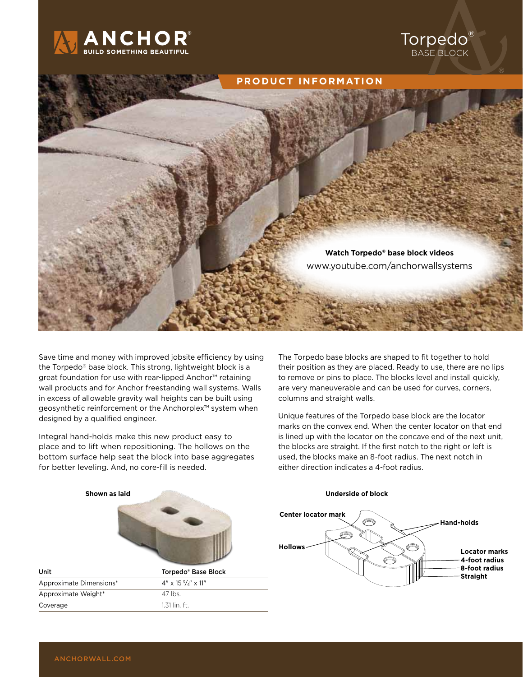



Save time and money with improved jobsite efficiency by using the Torpedo® base block. This strong, lightweight block is a great foundation for use with rear-lipped Anchor<sup>™</sup> retaining wall products and for Anchor freestanding wall systems. Walls in excess of allowable gravity wall heights can be built using geosynthetic reinforcement or the Anchorplex™ system when designed by a qualified engineer.

Integral hand-holds make this new product easy to place and to lift when repositioning. The hollows on the bottom surface help seat the block into base aggregates for better leveling. And, no core-fill is needed.

The Torpedo base blocks are shaped to fit together to hold their position as they are placed. Ready to use, there are no lips to remove or pins to place. The blocks level and install quickly, are very maneuverable and can be used for curves, corners, columns and straight walls.

Unique features of the Torpedo base block are the locator marks on the convex end. When the center locator on that end is lined up with the locator on the concave end of the next unit, the blocks are straight. If the first notch to the right or left is used, the blocks make an 8-foot radius. The next notch in either direction indicates a 4-foot radius.



#### **Underside of block**